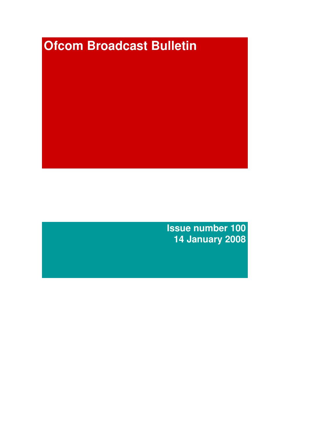# **Ofcom Broadcast Bulletin**

**Issue number 100 14 January 2008**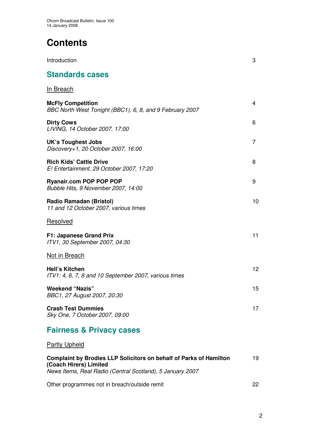# **Contents**

| Introduction                                                                         | 3  |
|--------------------------------------------------------------------------------------|----|
| <b>Standards cases</b>                                                               |    |
| <u>In Breach</u>                                                                     |    |
| <b>McFly Competition</b><br>BBC North West Tonight (BBC1), 6, 8, and 9 February 2007 | 4  |
| <b>Dirty Cows</b><br>LIVING, 14 October 2007, 17:00                                  | 6  |
| <b>UK's Toughest Jobs</b><br>Discovery+1, 20 October 2007, 16:00                     | 7  |
| <b>Rich Kids' Cattle Drive</b><br>E! Entertainment, 29 October 2007, 17:20           | 8  |
| <b>Ryanair.com POP POP POP</b><br>Bubble Hits, 9 November 2007, 14:00                | 9  |
| <b>Radio Ramadan (Bristol)</b><br>11 and 12 October 2007, various times              | 10 |
| Resolved                                                                             |    |
| F1: Japanese Grand Prix<br>ITV1, 30 September 2007, 04:30                            | 11 |
| <b>Not in Breach</b>                                                                 |    |
| <b>Hell's Kitchen</b><br>ITV1: 4, 6, 7, 8 and 10 September 2007, various times       | 12 |
| <b>Weekend "Nazis"</b><br>BBC1, 27 August 2007, 20:30                                | 15 |
| <b>Crash Test Dummies</b><br>Sky One, 7 October 2007, 09:00                          | 17 |
|                                                                                      |    |

# **Fairness & Privacy cases**

Partly Upheld

| <b>Complaint by Brodies LLP Solicitors on behalf of Parks of Hamilton</b><br>(Coach Hirers) Limited<br>News Items, Real Radio (Central Scotland), 5 January 2007 | 19 |
|------------------------------------------------------------------------------------------------------------------------------------------------------------------|----|
| Other programmes not in breach/outside remit                                                                                                                     | つつ |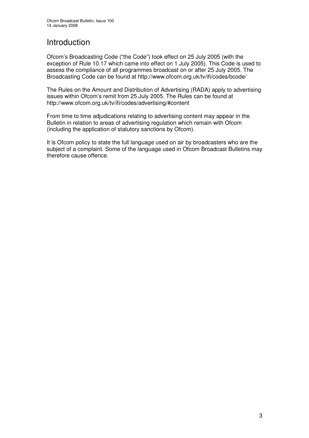# Introduction

Ofcom's Broadcasting Code ("the Code") took effect on 25 July 2005 (with the exception of Rule 10.17 which came into effect on 1 July 2005). This Code is used to assess the compliance of all programmes broadcast on or after 25 July 2005. The Broadcasting Code can be found at http://www.ofcom.org.uk/tv/ifi/codes/bcode/

The Rules on the Amount and Distribution of Advertising (RADA) apply to advertising issues within Ofcom's remit from 25 July 2005. The Rules can be found at http://www.ofcom.org.uk/tv/ifi/codes/advertising/#content

From time to time adjudications relating to advertising content may appear in the Bulletin in relation to areas of advertising regulation which remain with Ofcom (including the application of statutory sanctions by Ofcom).

It is Ofcom policy to state the full language used on air by broadcasters who are the subject of a complaint. Some of the language used in Ofcom Broadcast Bulletins may therefore cause offence.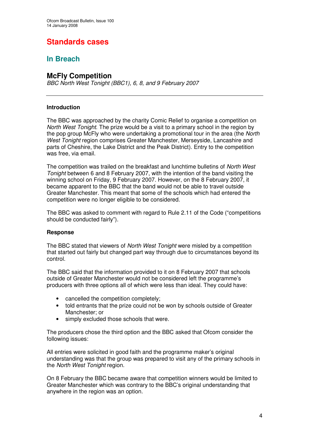# **Standards cases**

### **In Breach**

### **McFly Competition**

*BBC North West Tonight (BBC1), 6, 8, and 9 February 2007*

### **Introduction**

The BBC was approached by the charity Comic Relief to organise a competition on *North West Tonight*. The prize would be a visit to a primary school in the region by the pop group McFly who were undertaking a promotional tour in the area (the *North West Tonight* region comprises Greater Manchester, Merseyside, Lancashire and parts of Cheshire, the Lake District and the Peak District). Entry to the competition was free, via email.

The competition was trailed on the breakfast and lunchtime bulletins of *North West Tonight* between 6 and 8 February 2007, with the intention of the band visiting the winning school on Friday, 9 February 2007. However, on the 8 February 2007, it became apparent to the BBC that the band would not be able to travel outside Greater Manchester. This meant that some of the schools which had entered the competition were no longer eligible to be considered.

The BBC was asked to comment with regard to Rule 2.11 of the Code ("competitions should be conducted fairly").

### **Response**

The BBC stated that viewers of *North West Tonight* were misled by a competition that started out fairly but changed part way through due to circumstances beyond its control.

The BBC said that the information provided to it on 8 February 2007 that schools outside of Greater Manchester would not be considered left the programme's producers with three options all of which were less than ideal. They could have:

- cancelled the competition completely;
- told entrants that the prize could not be won by schools outside of Greater Manchester; or
- simply excluded those schools that were.

The producers chose the third option and the BBC asked that Ofcom consider the following issues:

All entries were solicited in good faith and the programme maker's original understanding was that the group was prepared to visit any of the primary schools in the *North West Tonight* region.

On 8 February the BBC became aware that competition winners would be limited to Greater Manchester which was contrary to the BBC's original understanding that anywhere in the region was an option.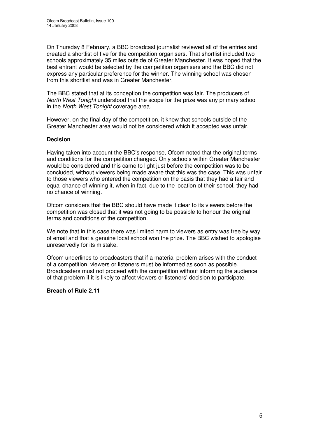On Thursday 8 February, a BBC broadcast journalist reviewed all of the entries and created a shortlist of five for the competition organisers. That shortlist included two schools approximately 35 miles outside of Greater Manchester. It was hoped that the best entrant would be selected by the competition organisers and the BBC did not express any particular preference for the winner. The winning school was chosen from this shortlist and was in Greater Manchester.

The BBC stated that at its conception the competition was fair. The producers of *North West Tonight* understood that the scope for the prize was any primary school in the *North West Tonight* coverage area.

However, on the final day of the competition, it knew that schools outside of the Greater Manchester area would not be considered which it accepted was unfair.

### **Decision**

Having taken into account the BBC's response, Ofcom noted that the original terms and conditions for the competition changed. Only schools within Greater Manchester would be considered and this came to light just before the competition was to be concluded, without viewers being made aware that this was the case. This was unfair to those viewers who entered the competition on the basis that they had a fair and equal chance of winning it, when in fact, due to the location of their school, they had no chance of winning.

Ofcom considers that the BBC should have made it clear to its viewers before the competition was closed that it was not going to be possible to honour the original terms and conditions of the competition.

We note that in this case there was limited harm to viewers as entry was free by way of email and that a genuine local school won the prize. The BBC wished to apologise unreservedly for its mistake.

Ofcom underlines to broadcasters that if a material problem arises with the conduct of a competition, viewers or listeners must be informed as soon as possible. Broadcasters must not proceed with the competition without informing the audience of that problem if it is likely to affect viewers or listeners' decision to participate.

### **Breach of Rule 2.11**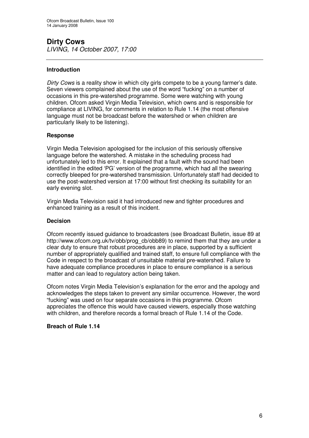### **Dirty Cows** *LIVING, 14 October 2007, 17:00*

### **Introduction**

*Dirty Cows* is a reality show in which city girls compete to be a young farmer's date. Seven viewers complained about the use of the word "fucking" on a number of occasions in this pre-watershed programme. Some were watching with young children. Ofcom asked Virgin Media Television, which owns and is responsible for compliance at LIVING, for comments in relation to Rule 1.14 (the most offensive language must not be broadcast before the watershed or when children are particularly likely to be listening).

### **Response**

Virgin Media Television apologised for the inclusion of this seriously offensive language before the watershed. A mistake in the scheduling process had unfortunately led to this error. It explained that a fault with the sound had been identified in the edited 'PG' version of the programme, which had all the swearing correctly bleeped for pre-watershed transmission. Unfortunately staff had decided to use the post-watershed version at 17:00 without first checking its suitability for an early evening slot.

Virgin Media Television said it had introduced new and tighter procedures and enhanced training as a result of this incident.

### **Decision**

Ofcom recently issued guidance to broadcasters (see Broadcast Bulletin, issue 89 at http://www.ofcom.org.uk/ty/obb/prog\_cb/obb89) to remind them that they are under a clear duty to ensure that robust procedures are in place, supported by a sufficient number of appropriately qualified and trained staff, to ensure full compliance with the Code in respect to the broadcast of unsuitable material pre-watershed. Failure to have adequate compliance procedures in place to ensure compliance is a serious matter and can lead to regulatory action being taken.

Ofcom notes Virgin Media Television's explanation for the error and the apology and acknowledges the steps taken to prevent any similar occurrence. However, the word "fucking" was used on four separate occasions in this programme. Ofcom appreciates the offence this would have caused viewers, especially those watching with children, and therefore records a formal breach of Rule 1.14 of the Code.

### **Breach of Rule 1.14**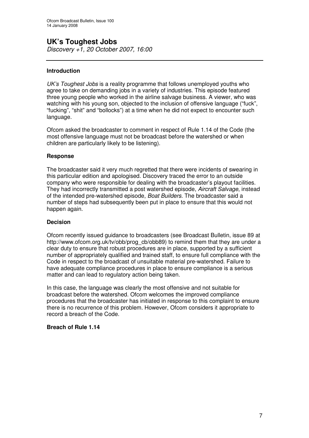# **UK's Toughest Jobs**

*Discovery +1, 20 October 2007, 16:00*

### **Introduction**

*UK's Toughest Jobs* is a reality programme that follows unemployed youths who agree to take on demanding jobs in a variety of industries. This episode featured three young people who worked in the airline salvage business. A viewer, who was watching with his young son, objected to the inclusion of offensive language ("fuck", "fucking", "shit" and "bollocks") at a time when he did not expect to encounter such language.

Ofcom asked the broadcaster to comment in respect of Rule 1.14 of the Code (the most offensive language must not be broadcast before the watershed or when children are particularly likely to be listening).

### **Response**

The broadcaster said it very much regretted that there were incidents of swearing in this particular edition and apologised. Discovery traced the error to an outside company who were responsible for dealing with the broadcaster's playout facilities. They had incorrectly transmitted a post watershed episode, *Aircraft Salvage*, instead of the intended pre-watershed episode, *Boat Builders*. The broadcaster said a number of steps had subsequently been put in place to ensure that this would not happen again.

#### **Decision**

Ofcom recently issued guidance to broadcasters (see Broadcast Bulletin, issue 89 at http://www.ofcom.org.uk/tv/obb/prog\_cb/obb89) to remind them that they are under a clear duty to ensure that robust procedures are in place, supported by a sufficient number of appropriately qualified and trained staff, to ensure full compliance with the Code in respect to the broadcast of unsuitable material pre-watershed. Failure to have adequate compliance procedures in place to ensure compliance is a serious matter and can lead to regulatory action being taken.

In this case, the language was clearly the most offensive and not suitable for broadcast before the watershed. Ofcom welcomes the improved compliance procedures that the broadcaster has initiated in response to this complaint to ensure there is no recurrence of this problem. However, Ofcom considers it appropriate to record a breach of the Code.

#### **Breach of Rule 1.14**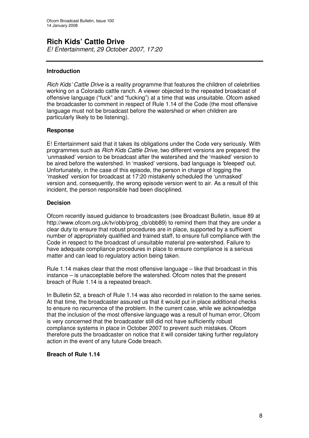### **Rich Kids' Cattle Drive**

*E! Entertainment, 29 October 2007, 17:20*

### **Introduction**

*Rich Kids' Cattle Drive* is a reality programme that features the children of celebrities working on a Colorado cattle ranch. A viewer objected to the repeated broadcast of offensive language ("fuck" and "fucking") at a time that was unsuitable. Ofcom asked the broadcaster to comment in respect of Rule 1.14 of the Code (the most offensive language must not be broadcast before the watershed or when children are particularly likely to be listening).

### **Response**

E! Entertainment said that it takes its obligations under the Code very seriously. With programmes such as *Rich Kids Cattle Drive*, two different versions are prepared: the 'unmasked' version to be broadcast after the watershed and the 'masked' version to be aired before the watershed. In 'masked' versions, bad language is 'bleeped'out. Unfortunately, in the case of this episode, the person in charge of logging the 'masked' version for broadcast at 17:20 mistakenly scheduled the 'unmasked' version and, consequently, the wrong episode version went to air. As a result of this incident, the person responsible had been disciplined.

### **Decision**

Ofcom recently issued guidance to broadcasters (see Broadcast Bulletin, issue 89 at http://www.ofcom.org.uk/tv/obb/prog\_cb/obb89) to remind them that they are under a clear duty to ensure that robust procedures are in place, supported by a sufficient number of appropriately qualified and trained staff, to ensure full compliance with the Code in respect to the broadcast of unsuitable material pre-watershed. Failure to have adequate compliance procedures in place to ensure compliance is a serious matter and can lead to regulatory action being taken.

Rule 1.14 makes clear that the most offensive language – like that broadcast in this instance – is unacceptable before the watershed. Ofcom notes that the present breach of Rule 1.14 is a repeated breach.

In Bulletin 52, a breach of Rule 1.14 was also recorded in relation to the same series. At that time, the broadcaster assured us that it would put in place additional checks to ensure no recurrence of the problem. In the current case, while we acknowledge that the inclusion of the most offensive language was a result of human error, Ofcom is very concerned that the broadcaster still did not have sufficiently robust compliance systems in place in October 2007 to prevent such mistakes. Ofcom therefore puts the broadcaster on notice that it will consider taking further regulatory action in the event of any future Code breach.

### **Breach of Rule 1.14**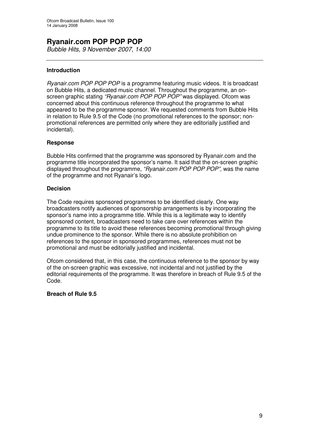### **Ryanair.com POP POP POP** *Bubble Hits, 9 November 2007, 14:00*

### **Introduction**

*Ryanair.com POP POP POP* is a programme featuring music videos. It is broadcast on Bubble Hits, a dedicated music channel. Throughout the programme, an onscreen graphic stating *"Ryanair.com POP POP POP"* was displayed. Ofcom was concerned about this continuous reference throughout the programme to what appeared to be the programme sponsor. We requested comments from Bubble Hits in relation to Rule 9.5 of the Code (no promotional references to the sponsor; nonpromotional references are permitted only where they are editorially justified and incidental).

### **Response**

Bubble Hits confirmed that the programme was sponsored by Ryanair.com and the programme title incorporated the sponsor's name. It said that the on-screen graphic displayed throughout the programme, *"Ryanair.com POP POP POP",* was the name of the programme and not Ryanair's logo.

#### **Decision**

The Code requires sponsored programmes to be identified clearly. One way broadcasters notify audiences of sponsorship arrangements is by incorporating the sponsor's name into a programme title. While this is a legitimate way to identify sponsored content, broadcasters need to take care over references within the programme to its title to avoid these references becoming promotional through giving undue prominence to the sponsor. While there is no absolute prohibition on references to the sponsor in sponsored programmes, references must not be promotional and must be editorially justified and incidental.

Ofcom considered that, in this case, the continuous reference to the sponsor by way of the on-screen graphic was excessive, not incidental and not justified by the editorial requirements of the programme. It was therefore in breach of Rule 9.5 of the Code.

### **Breach of Rule 9.5**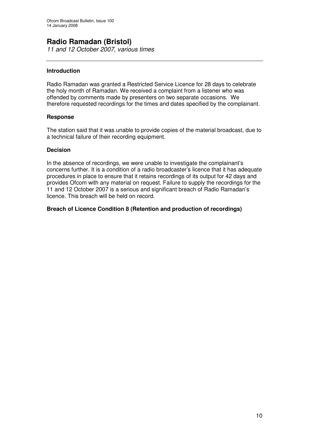### **Radio Ramadan (Bristol)**

*11 and 12 October 2007, various times*

### **Introduction**

Radio Ramadan was granted a Restricted Service Licence for 28 days to celebrate the holy month of Ramadan. We received a complaint from a listener who was offended by comments made by presenters on two separate occasions. We therefore requested recordings for the times and dates specified by the complainant.

### **Response**

The station said that it was unable to provide copies of the material broadcast, due to a technical failure of their recording equipment.

#### **Decision**

In the absence of recordings, we were unable to investigate the complainant's concerns further. It is a condition of a radio broadcaster's licence that it has adequate procedures in place to ensure that it retains recordings of its output for 42 days and provides Ofcom with any material on request. Failure to supply the recordings for the 11 and 12 October 2007 is a serious and significant breach of Radio Ramadan's licence. This breach will be held on record.

### **Breach of Licence Condition 8 (Retention and production of recordings)**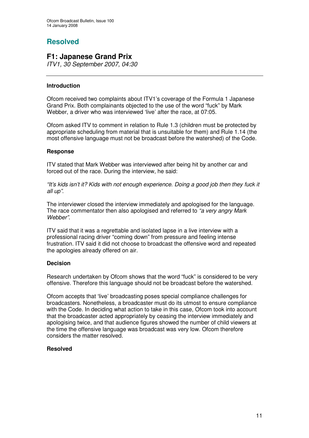### **Resolved**

### **F1: Japanese Grand Prix**

*ITV1, 30 September 2007, 04:30*

### **Introduction**

Ofcom received two complaints about ITV1's coverage of the Formula 1 Japanese Grand Prix. Both complainants objected to the use of the word "fuck" by Mark Webber, a driver who was interviewed 'live' after the race, at 07:05.

Ofcom asked ITV to comment in relation to Rule 1.3 (children must be protected by appropriate scheduling from material that is unsuitable for them) and Rule 1.14 (the most offensive language must not be broadcast before the watershed) of the Code.

### **Response**

ITV stated that Mark Webber was interviewed after being hit by another car and forced out of the race. During the interview, he said:

*"It's kids isn't it? Kids with not enough experience. Doing a good job then they fuck it all up"*.

The interviewer closed the interview immediately and apologised for the language. The race commentator then also apologised and referred to *"a very angry Mark Webber"*.

ITV said that it was a regrettable and isolated lapse in a live interview with a professional racing driver "coming down" from pressure and feeling intense frustration. ITV said it did not choose to broadcast the offensive word and repeated the apologies already offered on air.

### **Decision**

Research undertaken by Ofcom shows that the word "fuck" is considered to be very offensive. Therefore this language should not be broadcast before the watershed.

Ofcom accepts that 'live' broadcasting poses special compliance challenges for broadcasters. Nonetheless, a broadcaster must do its utmost to ensure compliance with the Code. In deciding what action to take in this case, Ofcom took into account that the broadcaster acted appropriately by ceasing the interview immediately and apologising twice, and that audience figures showed the number of child viewers at the time the offensive language was broadcast was very low. Ofcom therefore considers the matter resolved.

### **Resolved**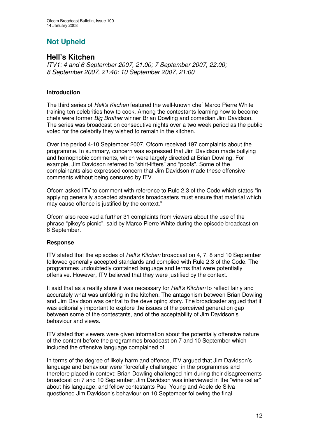# **Not Upheld**

### **Hell's Kitchen**

*ITV1: 4 and 6 September 2007, 21:00; 7 September 2007, 22:00; 8 September 2007, 21:40; 10 September 2007, 21:00*

### **Introduction**

The third series of *Hell's Kitchen* featured the well-known chef Marco Pierre White training ten celebrities how to cook. Among the contestants learning how to become chefs were former *Big Brother* winner Brian Dowling and comedian Jim Davidson. The series was broadcast on consecutive nights over a two week period as the public voted for the celebrity they wished to remain in the kitchen.

Over the period 4-10 September 2007, Ofcom received 197 complaints about the programme. In summary, concern was expressed that Jim Davidson made bullying and homophobic comments, which were largely directed at Brian Dowling. For example, Jim Davidson referred to "shirt-lifters" and "poofs". Some of the complainants also expressed concern that Jim Davidson made these offensive comments without being censured by ITV.

Ofcom asked ITV to comment with reference to Rule 2.3 of the Code which states "in applying generally accepted standards broadcasters must ensure that material which may cause offence is justified by the context."

Ofcom also received a further 31 complaints from viewers about the use of the phrase "pikey's picnic"*,* said by Marco Pierre White during the episode broadcast on 6 September.

### **Response**

ITV stated that the episodes of *Hell's Kitchen* broadcast on 4, 7, 8 and 10 September followed generally accepted standards and complied with Rule 2.3 of the Code. The programmes undoubtedly contained language and terms that were potentially offensive. However, ITV believed that they were justified by the context.

It said that as a reality show it was necessary for *Hell's Kitchen* to reflect fairly and accurately what was unfolding in the kitchen. The antagonism between Brian Dowling and Jim Davidson was central to the developing story. The broadcaster argued that it was editorially important to explore the issues of the perceived generation gap between some of the contestants, and of the acceptability of Jim Davidson's behaviour and views.

ITV stated that viewers were given information about the potentially offensive nature of the content before the programmes broadcast on 7 and 10 September which included the offensive language complained of.

In terms of the degree of likely harm and offence, ITV argued that Jim Davidson's language and behaviour were "forcefully challenged" in the programmes and therefore placed in context: Brian Dowling challenged him during their disagreements broadcast on 7 and 10 September; Jim Davidson was interviewed in the "wine cellar" about his language; and fellow contestants Paul Young and Adele de Silva questioned Jim Davidson's behaviour on 10 September following the final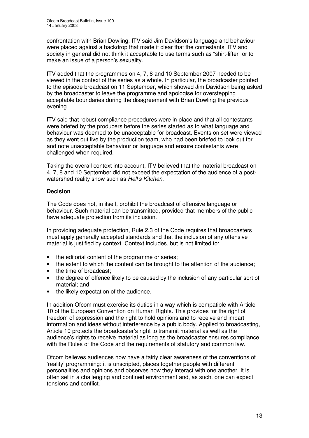confrontation with Brian Dowling. ITV said Jim Davidson's language and behaviour were placed against a backdrop that made it clear that the contestants, ITV and society in general did not think it acceptable to use terms such as "shirt-lifter" or to make an issue of a person's sexuality.

ITV added that the programmes on 4, 7, 8 and 10 September 2007 needed to be viewed in the context of the series as a whole. In particular, the broadcaster pointed to the episode broadcast on 11 September, which showed Jim Davidson being asked by the broadcaster to leave the programme and apologise for overstepping acceptable boundaries during the disagreement with Brian Dowling the previous evening.

ITV said that robust compliance procedures were in place and that all contestants were briefed by the producers before the series started as to what language and behaviour was deemed to be unacceptable for broadcast. Events on set were viewed as they went out live by the production team, who had been briefed to look out for and note unacceptable behaviour or language and ensure contestants were challenged when required.

Taking the overall context into account, ITV believed that the material broadcast on 4, 7, 8 and 10 September did not exceed the expectation of the audience of a postwatershed reality show such as *Hell's Kitchen*.

### **Decision**

The Code does not, in itself, prohibit the broadcast of offensive language or behaviour. Such material can be transmitted, provided that members of the public have adequate protection from its inclusion.

In providing adequate protection, Rule 2.3 of the Code requires that broadcasters must apply generally accepted standards and that the inclusion of any offensive material is justified by context. Context includes, but is not limited to:

- the editorial content of the programme or series;
- the extent to which the content can be brought to the attention of the audience;
- the time of broadcast:
- the degree of offence likely to be caused by the inclusion of any particular sort of material; and
- the likely expectation of the audience.

In addition Ofcom must exercise its duties in a way which is compatible with Article 10 of the European Convention on Human Rights. This provides for the right of freedom of expression and the right to hold opinions and to receive and impart information and ideas without interference by a public body. Applied to broadcasting, Article 10 protects the broadcaster's right to transmit material as well as the audience's rights to receive material as long as the broadcaster ensures compliance with the Rules of the Code and the requirements of statutory and common law.

Ofcom believes audiences now have a fairly clear awareness of the conventions of 'reality' programming: it is unscripted, places together people with different personalities and opinions and observes how they interact with one another. It is often set in a challenging and confined environment and, as such, one can expect tensions and conflict.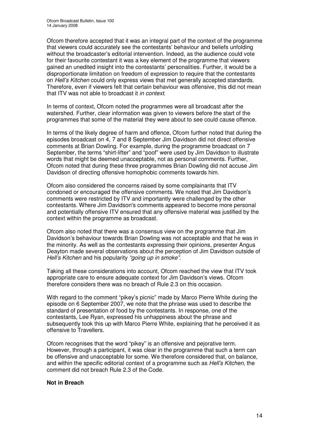Ofcom therefore accepted that it was an integral part of the context of the programme that viewers could accurately see the contestants' behaviour and beliefs unfolding without the broadcaster's editorial intervention. Indeed, as the audience could vote for their favourite contestant it was a key element of the programme that viewers gained an unedited insight into the contestants' personalities. Further, it would be a disproportionate limitation on freedom of expression to require that the contestants on *Hell's Kitchen* could only express views that met generally accepted standards. Therefore, even if viewers felt that certain behaviour was offensive, this did not mean that ITV was not able to broadcast it *in context*.

In terms of context, Ofcom noted the programmes were all broadcast after the watershed. Further, clear information was given to viewers before the start of the programmes that some of the material they were about to see could cause offence.

In terms of the likely degree of harm and offence, Ofcom further noted that during the episodes broadcast on 4, 7 and 8 September Jim Davidson did not direct offensive comments at Brian Dowling. For example, during the programme broadcast on 7 September, the terms "shirt-lifter" and "poof" were used by Jim Davidson to illustrate words that might be deemed unacceptable, not as personal comments. Further, Ofcom noted that during these three programmes Brian Dowling did not accuse Jim Davidson of directing offensive homophobic comments towards him.

Ofcom also considered the concerns raised by some complainants that ITV condoned or encouraged the offensive comments. We noted that Jim Davidson's comments were restricted by ITV and importantly were challenged by the other contestants. Where Jim Davidson's comments appeared to become more personal and potentially offensive ITV ensured that any offensive material was justified by the context within the programme as broadcast.

Ofcom also noted that there was a consensus view on the programme that Jim Davidson's behaviour towards Brian Dowling was not acceptable and that he was in the minority. As well as the contestants expressing their opinions, presenter Angus Deayton made several observations about the perception of Jim Davidson outside of *Hell's Kitchen* and his popularity *"going up in smoke"*.

Taking all these considerations into account, Ofcom reached the view that ITV took appropriate care to ensure adequate context for Jim Davidson's views. Ofcom therefore considers there was no breach of Rule 2.3 on this occasion.

With regard to the comment "pikey's picnic" made by Marco Pierre White during the episode on 6 September 2007, we note that the phrase was used to describe the standard of presentation of food by the contestants. In response, one of the contestants, Lee Ryan, expressed his unhappiness about the phrase and subsequently took this up with Marco Pierre White, explaining that he perceived it as offensive to Travellers.

Ofcom recognises that the word "pikey" is an offensive and pejorative term. However, through a participant, it was clear in the programme that such a term can be offensive and unacceptable for some. We therefore considered that, on balance, and within the specific editorial context of a programme such as *Hell's Kitchen*, the comment did not breach Rule 2.3 of the Code.

### **Not in Breach**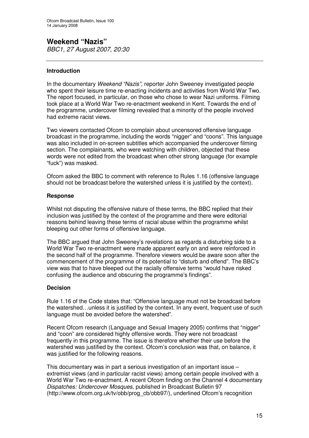**Weekend "Nazis"** *BBC1, 27 August 2007, 20:30*

### **Introduction**

In the documentary *Weekend "Nazis",* reporter John Sweeney investigated people who spent their leisure time re-enacting incidents and activities from World War Two. The report focused, in particular, on those who chose to wear Nazi uniforms. Filming took place at a World War Two re-enactment weekend in Kent. Towards the end of the programme, undercover filming revealed that a minority of the people involved had extreme racist views.

Two viewers contacted Ofcom to complain about uncensored offensive language broadcast in the programme, including the words "nigger" and "coons". This language was also included in on-screen subtitles which accompanied the undercover filming section. The complainants, who were watching with children, objected that these words were not edited from the broadcast when other strong language (for example "fuck") was masked.

Ofcom asked the BBC to comment with reference to Rules 1.16 (offensive language should not be broadcast before the watershed unless it is justified by the context).

### **Response**

Whilst not disputing the offensive nature of these terms, the BBC replied that their inclusion was justified by the context of the programme and there were editorial reasons behind leaving these terms of racial abuse within the programme whilst bleeping out other forms of offensive language.

The BBC argued that John Sweeney's revelations as regards a disturbing side to a World War Two re-enactment were made apparent early on and were reinforced in the second half of the programme. Therefore viewers would be aware soon after the commencement of the programme of its potential to "disturb and offend". The BBC's view was that to have bleeped out the racially offensive terms "would have risked confusing the audience and obscuring the programme's findings".

### **Decision**

Rule 1.16 of the Code states that: "Offensive language must not be broadcast before the watershed…unless it is justified by the context. In any event, frequent use of such language must be avoided before the watershed".

Recent Ofcom research (Language and Sexual Imagery 2005) confirms that "nigger" and "coon" are considered highly offensive words. They were not broadcast frequently in this programme. The issue is therefore whether their use before the watershed was justified by the context. Ofcom's conclusion was that, on balance, it was justified for the following reasons.

This documentary was in part a serious investigation of an important issue – extremist views (and in particular racist views) among certain people involved with a World War Two re-enactment. A recent Ofcom finding on the Channel 4 documentary *Dispatches: Undercover Mosques*, published in Broadcast Bulletin 97 (http://www.ofcom.org.uk/tv/obb/prog\_cb/obb97/), underlined Ofcom's recognition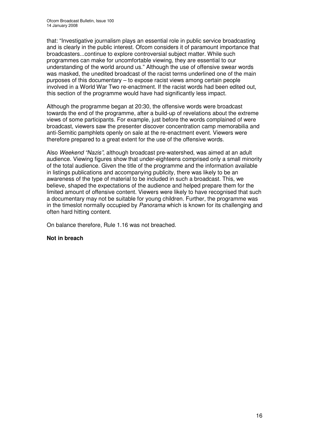that: "Investigative journalism plays an essential role in public service broadcasting and is clearly in the public interest. Ofcom considers it of paramount importance that broadcasters...continue to explore controversial subject matter. While such programmes can make for uncomfortable viewing, they are essential to our understanding of the world around us." Although the use of offensive swear words was masked, the unedited broadcast of the racist terms underlined one of the main purposes of this documentary – to expose racist views among certain people involved in a World War Two re-enactment. If the racist words had been edited out, this section of the programme would have had significantly less impact.

Although the programme began at 20:30, the offensive words were broadcast towards the end of the programme, after a build-up of revelations about the extreme views of some participants. For example, just before the words complained of were broadcast, viewers saw the presenter discover concentration camp memorabilia and anti-Semitic pamphlets openly on sale at the re-enactment event. Viewers were therefore prepared to a great extent for the use of the offensive words.

Also *Weekend "Nazis"*, although broadcast pre-watershed, was aimed at an adult audience. Viewing figures show that under-eighteens comprised only a small minority of the total audience. Given the title of the programme and the information available in listings publications and accompanying publicity, there was likely to be an awareness of the type of material to be included in such a broadcast. This, we believe, shaped the expectations of the audience and helped prepare them for the limited amount of offensive content. Viewers were likely to have recognised that such a documentary may not be suitable for young children. Further, the programme was in the timeslot normally occupied by *Panorama* which is known for its challenging and often hard hitting content.

On balance therefore, Rule 1.16 was not breached.

### **Not in breach**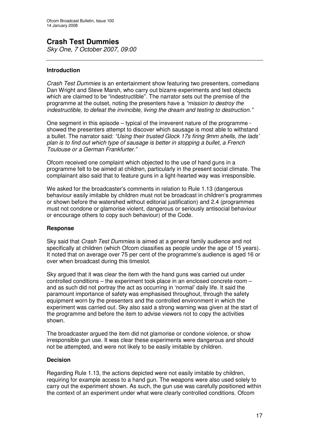# **Crash Test Dummies**

*Sky One, 7 October 2007, 09:00*

### **Introduction**

*Crash Test Dummies* is an entertainment show featuring two presenters, comedians Dan Wright and Steve Marsh, who carry out bizarre experiments and test objects which are claimed to be "indestructible". The narrator sets out the premise of the programme at the outset, noting the presenters have a *"mission to destroy the indestructible, to defeat the invincible, living the dream and testing to destruction."*

One segment in this episode – typical of the irreverent nature of the programme showed the presenters attempt to discover which sausage is most able to withstand a bullet. The narrator said: *"Using their trusted Glock 17s firing 9mm shells, the lads' plan is to find out which type of sausage is better in stopping a bullet, a French Toulouse or a German Frankfurter."*

Ofcom received one complaint which objected to the use of hand guns in a programme felt to be aimed at children, particularly in the present social climate. The complainant also said that to feature guns in a light-hearted way was irresponsible.

We asked for the broadcaster's comments in relation to Rule 1.13 (dangerous behaviour easily imitable by children must not be broadcast in children's programmes or shown before the watershed without editorial justification) and 2.4 (programmes must not condone or glamorise violent, dangerous or seriously antisocial behaviour or encourage others to copy such behaviour) of the Code.

### **Response**

Sky said that *Crash Test Dummies* is aimed at a general family audience and not specifically at children (which Ofcom classifies as people under the age of 15 years). It noted that on average over 75 per cent of the programme's audience is aged 16 or over when broadcast during this timeslot.

Sky argued that it was clear the item with the hand guns was carried out under controlled conditions – the experiment took place in an enclosed concrete room – and as such did not portray the act as occurring in 'normal' daily life. It said the paramount importance of safety was emphasised throughout, through the safety equipment worn by the presenters and the controlled environment in which the experiment was carried out. Sky also said a strong warning was given at the start of the programme and before the item to advise viewers not to copy the activities shown.

The broadcaster argued the item did not glamorise or condone violence, or show irresponsible gun use. It was clear these experiments were dangerous and should not be attempted, and were not likely to be easily imitable by children.

### **Decision**

Regarding Rule 1.13, the actions depicted were not easily imitable by children, requiring for example access to a hand gun. The weapons were also used solely to carry out the experiment shown. As such, the gun use was carefully positioned within the context of an experiment under what were clearly controlled conditions. Ofcom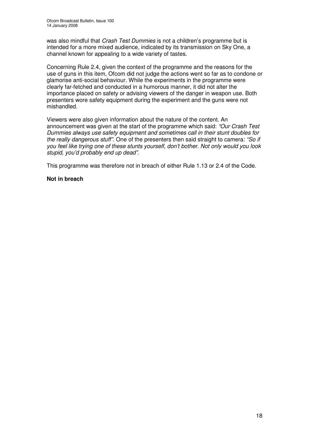was also mindful that *Crash Test Dummies* is not a children's programme but is intended for a more mixed audience, indicated by its transmission on Sky One, a channel known for appealing to a wide variety of tastes.

Concerning Rule 2.4, given the context of the programme and the reasons for the use of guns in this item, Ofcom did not judge the actions went so far as to condone or glamorise anti-social behaviour. While the experiments in the programme were clearly far-fetched and conducted in a humorous manner, it did not alter the importance placed on safety or advising viewers of the danger in weapon use. Both presenters wore safety equipment during the experiment and the guns were not mishandled.

Viewers were also given information about the nature of the content. An announcement was given at the start of the programme which said: *"Our Crash Test Dummies always use safety equipment and sometimes call in their stunt doubles for the really dangerous stuff".* One of the presenters then said straight to camera: *"So if you feel like trying one of these stunts yourself, don't bother. Not only would you look stupid, you'd probably end up dead".*

This programme was therefore not in breach of either Rule 1.13 or 2.4 of the Code.

#### **Not in breach**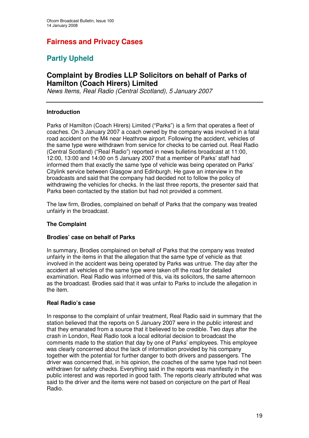### **Fairness and Privacy Cases**

### **Partly Upheld**

### **Complaint by Brodies LLP Solicitors on behalf of Parks of Hamilton (Coach Hirers) Limited**

*News Items, Real Radio (Central Scotland), 5 January 2007*

### **Introduction**

Parks of Hamilton (Coach Hirers) Limited ("Parks") is a firm that operates a fleet of coaches. On 3 January 2007 a coach owned by the company was involved in a fatal road accident on the M4 near Heathrow airport. Following the accident, vehicles of the same type were withdrawn from service for checks to be carried out. Real Radio (Central Scotland) ("Real Radio") reported in news bulletins broadcast at 11:00, 12:00, 13:00 and 14:00 on 5 January 2007 that a member of Parks' staff had informed them that exactly the same type of vehicle was being operated on Parks' Citylink service between Glasgow and Edinburgh. He gave an interview in the broadcasts and said that the company had decided not to follow the policy of withdrawing the vehicles for checks. In the last three reports, the presenter said that Parks been contacted by the station but had not provided a comment.

The law firm, Brodies, complained on behalf of Parks that the company was treated unfairly in the broadcast.

### **The Complaint**

### **Brodies' case on behalf of Parks**

In summary, Brodies complained on behalf of Parks that the company was treated unfairly in the items in that the allegation that the same type of vehicle as that involved in the accident was being operated by Parks was untrue. The day after the accident all vehicles of the same type were taken off the road for detailed examination. Real Radio was informed of this, via its solicitors, the same afternoon as the broadcast. Brodies said that it was unfair to Parks to include the allegation in the item.

### **Real Radio's case**

In response to the complaint of unfair treatment, Real Radio said in summary that the station believed that the reports on 5 January 2007 were in the public interest and that they emanated from a source that it believed to be credible. Two days after the crash in London, Real Radio took a local editorial decision to broadcast the comments made to the station that day by one of Parks' employees. This employee was clearly concerned about the lack of information provided by his company together with the potential for further danger to both drivers and passengers. The driver was concerned that, in his opinion, the coaches of the same type had not been withdrawn for safety checks. Everything said in the reports was manifestly in the public interest and was reported in good faith. The reports clearly attributed what was said to the driver and the items were not based on conjecture on the part of Real Radio.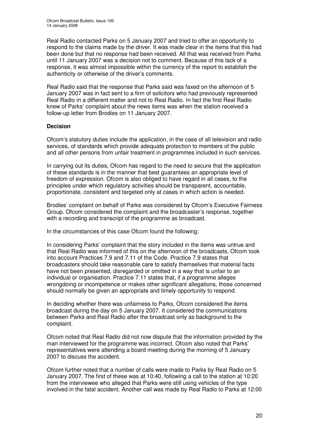Real Radio contacted Parks on 5 January 2007 and tried to offer an opportunity to respond to the claims made by the driver. It was made clear in the items that this had been done but that no response had been received. All that was received from Parks until 11 January 2007 was a decision not to comment. Because of this lack of a response, it was almost impossible within the currency of the report to establish the authenticity or otherwise of the driver's comments.

Real Radio said that the response that Parks said was faxed on the afternoon of 5 January 2007 was in fact sent to a firm of solicitors who had previously represented Real Radio in a different matter and not to Real Radio. In fact the first Real Radio knew of Parks' complaint about the news items was when the station received a follow-up letter from Brodies on 11 January 2007.

### **Decision**

Ofcom's statutory duties include the application, in the case of all television and radio services, of standards which provide adequate protection to members of the public and all other persons from unfair treatment in programmes included in such services.

In carrying out its duties, Ofcom has regard to the need to secure that the application of these standards is in the manner that best guarantees an appropriate level of freedom of expression. Ofcom is also obliged to have regard in all cases, to the principles under which regulatory activities should be transparent, accountable, proportionate, consistent and targeted only at cases in which action is needed.

Brodies' complaint on behalf of Parks was considered by Ofcom's Executive Fairness Group. Ofcom considered the complaint and the broadcaster's response, together with a recording and transcript of the programme as broadcast.

In the circumstances of this case Ofcom found the following:

In considering Parks' complaint that the story included in the items was untrue and that Real Radio was informed of this on the afternoon of the broadcasts, Ofcom took into account Practices 7.9 and 7.11 of the Code. Practice 7.9 states that broadcasters should take reasonable care to satisfy themselves that material facts have not been presented, disregarded or omitted in a way that is unfair to an individual or organisation. Practice 7.11 states that, if a programme alleges wrongdoing or incompetence or makes other significant allegations, those concerned should normally be given an appropriate and timely opportunity to respond.

In deciding whether there was unfairness to Parks, Ofcom considered the items broadcast during the day on 5 January 2007. It considered the communications between Parks and Real Radio after the broadcast only as background to the complaint.

Ofcom noted that Real Radio did not now dispute that the information provided by the man interviewed for the programme was incorrect. Ofcom also noted that Parks' representatives were attending a board meeting during the morning of 5 January 2007 to discuss the accident.

Ofcom further noted that a number of calls were made to Parks by Real Radio on 5 January 2007. The first of these was at 10:40, following a call to the station at 10:20 from the interviewee who alleged that Parks were still using vehicles of the type involved in the fatal accident. Another call was made by Real Radio to Parks at 12:00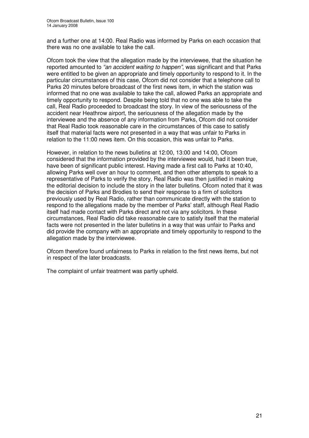and a further one at 14:00. Real Radio was informed by Parks on each occasion that there was no one available to take the call.

Ofcom took the view that the allegation made by the interviewee, that the situation he reported amounted to *"an accident waiting to happen"*, was significant and that Parks were entitled to be given an appropriate and timely opportunity to respond to it. In the particular circumstances of this case, Ofcom did not consider that a telephone call to Parks 20 minutes before broadcast of the first news item, in which the station was informed that no one was available to take the call, allowed Parks an appropriate and timely opportunity to respond. Despite being told that no one was able to take the call, Real Radio proceeded to broadcast the story. In view of the seriousness of the accident near Heathrow airport, the seriousness of the allegation made by the interviewee and the absence of any information from Parks, Ofcom did not consider that Real Radio took reasonable care in the circumstances of this case to satisfy itself that material facts were not presented in a way that was unfair to Parks in relation to the 11:00 news item. On this occasion, this was unfair to Parks.

However, in relation to the news bulletins at 12:00, 13:00 and 14:00, Ofcom considered that the information provided by the interviewee would, had it been true, have been of significant public interest. Having made a first call to Parks at 10:40, allowing Parks well over an hour to comment, and then other attempts to speak to a representative of Parks to verify the story, Real Radio was then justified in making the editorial decision to include the story in the later bulletins. Ofcom noted that it was the decision of Parks and Brodies to send their response to a firm of solicitors previously used by Real Radio, rather than communicate directly with the station to respond to the allegations made by the member of Parks' staff, although Real Radio itself had made contact with Parks direct and not via any solicitors. In these circumstances, Real Radio did take reasonable care to satisfy itself that the material facts were not presented in the later bulletins in a way that was unfair to Parks and did provide the company with an appropriate and timely opportunity to respond to the allegation made by the interviewee.

Ofcom therefore found unfairness to Parks in relation to the first news items, but not in respect of the later broadcasts.

The complaint of unfair treatment was partly upheld.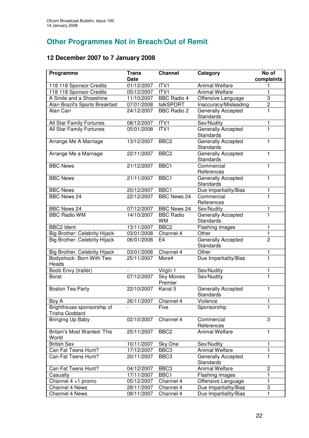# **Other Programmes Not in Breach/Out of Remit**

### **12 December 2007 to 7 January 2008**

| Programme                                    | <b>Trans</b> | <b>Channel</b>               | Category                                      | No of                   |
|----------------------------------------------|--------------|------------------------------|-----------------------------------------------|-------------------------|
|                                              | <b>Date</b>  |                              |                                               | complaints              |
| 118 118 Sponsor Credits                      | 01/12/2007   | ITV1                         | <b>Animal Welfare</b>                         | 1                       |
| 118 118 Sponsor Credits                      | 05/12/2007   | ITVI                         | <b>Animal Welfare</b>                         | $\mathbf{1}$            |
| A Smile and a Shoeshine                      | 11/10/2007   | <b>BBC Radio 4</b>           | Offensive Language                            | $\overline{3}$          |
| Alan Brazil's Sports Breakfast               | 07/01/2008   | talkSPORT                    | Inaccuracy/Misleading                         | $\overline{2}$          |
| Alan Carr                                    | 24/12/2007   | <b>BBC Radio 2</b>           | Generally Accepted                            | 1                       |
|                                              |              |                              | <b>Standards</b>                              |                         |
| All Star Family Fortunes                     | 08/12/2007   | ITV1                         | Sex/Nudity                                    | 1                       |
| All Star Family Fortunes                     | 05/01/2008   | ITV1                         | Generally Accepted<br><b>Standards</b>        | $\overline{1}$          |
| Arrange Me A Marriage                        | 13/12/2007   | BBC <sub>2</sub>             | Generally Accepted<br><b>Standards</b>        | 1                       |
| Arrange Me a Marriage                        | 22/11/2007   | BBC <sub>2</sub>             | Generally Accepted<br><b>Standards</b>        | 1                       |
| <b>BBC News</b>                              | 21/12/2007   | BBC <sub>1</sub>             | Commercial<br>References                      | 1                       |
| <b>BBC News</b>                              | 21/11/2007   | BBC <sub>1</sub>             | Generally Accepted<br><b>Standards</b>        | 1                       |
| <b>BBC News</b>                              | 20/12/2007   | BBC1                         | Due Impartiality/Bias                         | 1                       |
| <b>BBC News 24</b>                           | 22/12/2007   | <b>BBC News 24</b>           | Commercial<br>References                      | $\mathbf{1}$            |
| <b>BBC News 24</b>                           | 07/12/2007   | <b>BBC News 24</b>           | Sex/Nudity                                    | 1                       |
| <b>BBC Radio WM</b>                          | 14/10/2007   | <b>BBC Radio</b><br>WM       | Generally Accepted<br><b>Standards</b>        | $\overline{\mathbf{1}}$ |
| <b>BBC2 Ident</b>                            | 13/11/2007   | BBC <sub>2</sub>             | Flashing images                               | 1                       |
| Big Brother: Celebrity Hijack                | 03/01/2008   | Channel 4                    | Other                                         | $\mathbf{1}$            |
| Big Brother: Celebrity Hijack                | 06/01/2008   | E <sub>4</sub>               | <b>Generally Accepted</b><br><b>Standards</b> | $\overline{2}$          |
| Big Brother: Celebrity Hijack                | 03/01/2008   | Channel 4                    | Other                                         | 1                       |
| Bodyshock: Born With Two<br>Heads            | 25/11/2007   | More4                        | Due Impartiality/Bias                         | $\overline{\mathbf{1}}$ |
| Boob Envy (trailer)                          |              | Virgin 1                     | Sex/Nudity                                    | 1                       |
| <b>Borat</b>                                 | 07/12/2007   | <b>Sky Movies</b><br>Premier | Sex/Nudity                                    | $\overline{\mathbf{1}}$ |
| <b>Boston Tea Party</b>                      | 22/10/2007   | Kanal 5                      | Generally Accepted<br>Standards               | 1                       |
| Boy A                                        | 26/11/2007   | Channel 4                    | Violence                                      | 1                       |
| Brighthouse sponsorship of<br>Trisha Goddard |              | Five                         | Sponsorship                                   | 1                       |
| Bringing Up Baby                             | 02/10/2007   | Channel 4                    | Commercial<br>References                      | 3                       |
| <b>Britain's Most Wanted: This</b><br>World  | 25/11/2007   | BBC <sub>2</sub>             | <b>Animal Welfare</b>                         | 1                       |
| <b>British Sex</b>                           | 10/11/2007   | Sky One                      | Sex/Nudity                                    | 1                       |
| Can Fat Teens Hunt?                          | 17/12/2007   | BBC <sub>3</sub>             | Animal Welfare                                | 1                       |
| Can Fat Teens Hunt?                          | 20/11/2007   | BBC <sub>3</sub>             | Generally Accepted<br>Standards               | $\overline{1}$          |
| Can Fat Teens Hunt?                          | 04/12/2007   | BBC <sub>3</sub>             | <b>Animal Welfare</b>                         | $\overline{c}$          |
| Casualty                                     | 17/11/2007   | BBC1                         | <b>Flashing images</b>                        | 1                       |
| Channel 4 +1 promo                           | 05/12/2007   | Channel 4                    | Offensive Language                            | $\mathbf{1}$            |
| Channel 4 News                               | 28/11/2007   | Channel 4                    | Due Impartiality/Bias                         | 3                       |
| <b>Channel 4 News</b>                        | 08/11/2007   | Channel 4                    | Due Impartiality/Bias                         | 1                       |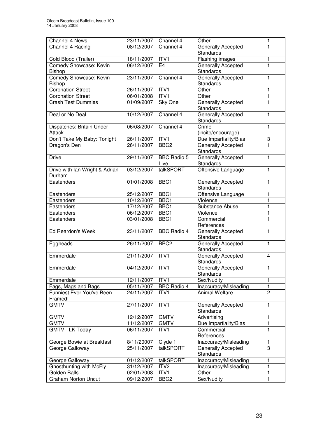| Channel 4 News                           | 23/11/2007               | Channel 4          | Other                                  | 1              |
|------------------------------------------|--------------------------|--------------------|----------------------------------------|----------------|
| Channel 4 Racing                         | 08/12/2007               | Channel 4          | <b>Generally Accepted</b>              | 1              |
|                                          |                          |                    | <b>Standards</b>                       |                |
| Cold Blood (Trailer)                     | 18/11/2007               | ITV1               | Flashing images                        | 1              |
| Comedy Showcase: Kevin                   | 06/12/2007               | E <sub>4</sub>     | Generally Accepted                     | $\mathbf{1}$   |
| Bishop                                   |                          |                    | <b>Standards</b>                       |                |
| Comedy Showcase: Kevin                   | 23/11/2007               | Channel 4          | <b>Generally Accepted</b>              | 1              |
| Bishop                                   |                          |                    | <b>Standards</b>                       |                |
| <b>Coronation Street</b>                 | 26/11/2007               | ITV1               | Other                                  | 1              |
| <b>Coronation Street</b>                 | 06/01/2008               | ITVI               | Other                                  | 1              |
| <b>Crash Test Dummies</b>                | 01/09/2007               | Sky One            | Generally Accepted<br>Standards        | 1              |
| Deal or No Deal                          | 10/12/2007               | Channel 4          | Generally Accepted<br>Standards        | 1              |
| Dispatches: Britain Under                | 06/08/2007               | Channel 4          | Crime                                  | $\mathbf{1}$   |
| <b>Attack</b>                            |                          |                    | (incite/encourage)                     |                |
| Don't Take My Baby: Tonight              | 26/11/2007               | ITV1               | Due Impartiality/Bias                  | 3              |
| Dragon's Den                             | 26/11/2007               | BBC <sub>2</sub>   | <b>Generally Accepted</b>              | $\overline{1}$ |
|                                          |                          |                    | Standards                              |                |
| <b>Drive</b>                             | 29/11/2007               | <b>BBC Radio 5</b> | <b>Generally Accepted</b>              | $\overline{1}$ |
|                                          |                          | Live               | <b>Standards</b>                       |                |
| Drive with Ian Wright & Adrian<br>Durham | 03/12/2007               | talkSPORT          | Offensive Language                     | $\overline{1}$ |
| Eastenders                               | 01/01/2008               | BBC1               | Generally Accepted                     | $\mathbf{1}$   |
|                                          |                          |                    | Standards                              |                |
| Eastenders                               | 25/12/2007               | BBC1               | Offensive Language                     | 1              |
| Eastenders                               | 10/12/2007               | BBC1               | Violence                               | $\mathbf{1}$   |
| Eastenders                               | 17/12/2007               | BBC1               | Substance Abuse                        | $\mathbf{1}$   |
| Eastenders                               | 06/12/2007               | BBC1               | Violence                               | $\mathbf{1}$   |
| Eastenders                               | 03/01/2008               | BBC1               | Commercial                             | $\overline{1}$ |
|                                          |                          |                    | References                             |                |
| Ed Reardon's Week                        | 23/11/2007               | <b>BBC Radio 4</b> | Generally Accepted<br>Standards        | $\mathbf{1}$   |
| Eggheads                                 | 26/11/2007               | BBC <sub>2</sub>   | Generally Accepted<br><b>Standards</b> | 1              |
| Emmerdale                                | 21/11/2007               | ITV1               | <b>Generally Accepted</b>              | $\overline{4}$ |
|                                          |                          |                    | <b>Standards</b>                       |                |
| Emmerdale                                | 04/12/2007               | ITVI               | <b>Generally Accepted</b>              | $\mathbf{1}$   |
|                                          |                          |                    | Standards                              |                |
| Emmerdale                                | 12/11/2007               | ITV1               | Sex/Nudity                             | 1              |
| Fags, Mags and Bags                      | 05/11/2007               | <b>BBC Radio 4</b> | Inaccuracy/Misleading                  | 1              |
| Funniest Ever You've Been                | 24/11/2007               | ITV1               | <b>Animal Welfare</b>                  | $\overline{2}$ |
| Framed!                                  |                          |                    |                                        |                |
| <b>GMTV</b>                              | 27/11/2007               | ITV <sub>1</sub>   | Generally Accepted                     | 1              |
| <b>GMTV</b>                              |                          | <b>GMTV</b>        | Standards                              | 1              |
| <b>GMTV</b>                              | 12/12/2007               | <b>GMTV</b>        | Advertising                            | $\mathbf{1}$   |
| <b>GMTV - LK Today</b>                   | 11/12/2007<br>06/11/2007 | ITV1               | Due Impartiality/Bias<br>Commercial    | $\mathbf{1}$   |
|                                          |                          |                    | References                             |                |
| George Bowie at Breakfast                | $\frac{8}{11}$ /20007    | Clyde 1            | Inaccuracy/Misleading                  | 1              |
| George Galloway                          | 25/11/2007               | talkSPORT          | Generally Accepted<br>Standards        | $\overline{3}$ |
| George Galloway                          | 01/12/2007               | talkSPORT          | Inaccuracy/Misleading                  | 1              |
| Ghosthunting with McFly                  | 31/12/2007               | ITV <sub>2</sub>   | Inaccuracy/Misleading                  | 1              |
| <b>Golden Balls</b>                      | 02/01/2008               | ITV1               | Other                                  | 1              |
| <b>Graham Norton Uncut</b>               | 09/12/2007               | BBC <sub>2</sub>   | Sex/Nudity                             | $\mathbf{1}$   |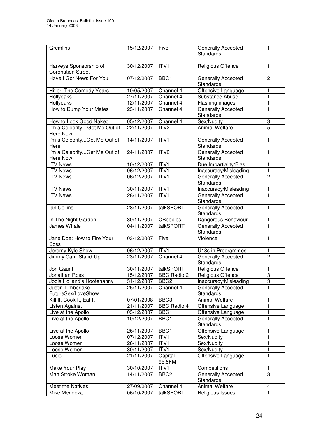| Gremlins                                           | 15/12/2007 | Five               | <b>Generally Accepted</b><br><b>Standards</b> | 1              |
|----------------------------------------------------|------------|--------------------|-----------------------------------------------|----------------|
| Harveys Sponsorship of<br><b>Coronation Street</b> | 30/12/2007 | ITV1               | Religious Offence                             | 1              |
| Have I Got News For You                            | 07/12/2007 | BBC1               | Generally Accepted<br><b>Standards</b>        | $\overline{2}$ |
| Hitler: The Comedy Years                           | 10/05/2007 | Channel 4          | Offensive Language                            | 1              |
| Hollyoaks                                          | 27/11/2007 | Channel 4          | Substance Abuse                               | 1              |
| Hollyoaks                                          | 12/11/2007 | Channel 4          | Flashing images                               | 1              |
| How to Dump Your Mates                             | 23/11/2007 | Channel 4          | Generally Accepted<br><b>Standards</b>        | 1              |
| How to Look Good Naked                             | 05/12/2007 | Channel 4          | Sex/Nudity                                    | 3              |
| I'm a CelebrityGet Me Out of<br>Here Now!          | 22/11/2007 | ITV <sub>2</sub>   | <b>Animal Welfare</b>                         | $\overline{5}$ |
| I'm a CelebrityGet Me Out of<br>Here               | 14/11/2007 | ITV1               | Generally Accepted<br>Standards               | 1              |
| I'm a CelebrityGet Me Out of<br>Here Now!          | 24/11/2007 | ITV <sub>2</sub>   | <b>Generally Accepted</b><br><b>Standards</b> | 1              |
| <b>ITV News</b>                                    | 10/12/2007 | ITVI               | Due Impartiality/Bias                         | 1              |
| <b>ITV</b> News                                    | 06/12/2007 | ITV1               | Inaccuracy/Misleading                         | 1              |
| <b>ITV News</b>                                    | 06/12/2007 | ITV1               | <b>Generally Accepted</b><br><b>Standards</b> | $\overline{2}$ |
| <b>ITV News</b>                                    | 30/11/2007 | ITV1               | Inaccuracy/Misleading                         | 1              |
| <b>ITV News</b>                                    | 28/11/2007 | ITV1               | Generally Accepted<br>Standards               | 1              |
| lan Collins                                        | 28/11/2007 | talkSPORT          | <b>Generally Accepted</b><br><b>Standards</b> | 1              |
| In The Night Garden                                | 30/11/2007 | <b>CBeebies</b>    | Dangerous Behaviour                           | 1              |
| James Whale                                        | 04/11/2007 | talkSPORT          | <b>Generally Accepted</b><br>Standards        | 1              |
| Jane Doe: How to Fire Your<br><b>Boss</b>          | 03/12/2007 | Five               | Violence                                      | 1              |
| Jeremy Kyle Show                                   | 06/12/2007 | ITV1               | U18s in Programmes                            | 1              |
| Jimmy Carr: Stand-Up                               | 23/11/2007 | Channel 4          | Generally Accepted<br>Standards               | $\overline{2}$ |
| Jon Gaunt                                          | 30/11/2007 | talkSPORT          | Religious Offence                             | 1              |
| Jonathan Ross                                      | 15/12/2007 | <b>BBC Radio 2</b> | Religious Offence                             | $\overline{3}$ |
| Jools Holland's Hootenanny                         | 31/12/2007 | BBC <sub>2</sub>   | Inaccuracy/Misleading                         | 3              |
| Justin Timberlake<br>FutureSex/LoveShow            | 25/11/2007 | Channel 4          | Generally Accepted<br>Standards               | 1              |
| Kill It, Cook It, Eat It                           | 07/01/2008 | BBC <sub>3</sub>   | Animal Welfare                                | 1              |
| Listen Against                                     | 21/11/2007 | <b>BBC Radio 4</b> | Offensive Language                            | 1              |
| Live at the Apollo                                 | 03/12/2007 | BBC1               | Offensive Language                            | 1              |
| Live at the Apollo                                 | 10/12/2007 | BBC1               | Generally Accepted<br><b>Standards</b>        | 1              |
| Live at the Apollo                                 | 26/11/2007 | BBC1               | Offensive Language                            | 1              |
| Loose Women                                        | 07/12/2007 | ITV1               | Sex/Nudity                                    | 1              |
| Loose Women                                        | 26/11/2007 | ITV1               | Sex/Nudity                                    | 1              |
| Loose Women                                        | 30/11/2007 | ITV1               | Sex/Nudity                                    | 1              |
| Lucio                                              | 21/11/2007 | Capital<br>95.8FM  | Offensive Language                            | $\mathbf{1}$   |
| Make Your Play                                     | 30/10/2007 | ITV1               | Competitions                                  | 1              |
| Man Stroke Woman                                   | 14/11/2007 | BBC <sub>2</sub>   | Generally Accepted<br>Standards               | 3              |
| Meet the Natives                                   | 27/09/2007 | Channel 4          | <b>Animal Welfare</b>                         | 4              |
| Mike Mendoza                                       | 06/10/2007 | talkSPORT          | Religious Issues                              | 1              |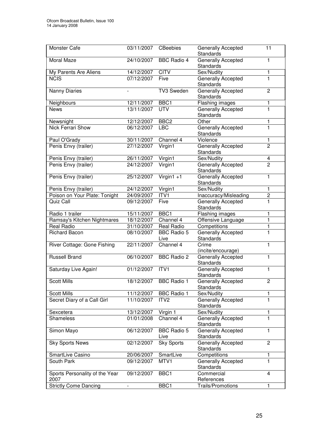| Monster Cafe                           | 03/11/2007              | <b>CBeebies</b>            | Generally Accepted<br><b>Standards</b>        | 11                       |
|----------------------------------------|-------------------------|----------------------------|-----------------------------------------------|--------------------------|
| Moral Maze                             | 24/10/2007              | <b>BBC Radio 4</b>         | <b>Generally Accepted</b><br><b>Standards</b> | 1                        |
| My Parents Are Aliens                  | 14/12/2007              | <b>CITV</b>                | Sex/Nudity                                    | 1                        |
| <b>NCIS</b>                            | $\overline{07}/12/2007$ | Five                       | <b>Generally Accepted</b><br><b>Standards</b> | $\overline{1}$           |
| Nanny Diaries                          | $\overline{a}$          | TV3 Sweden                 | Generally Accepted<br><b>Standards</b>        | $\overline{2}$           |
| Neighbours                             | 12/11/2007              | BBC1                       | Flashing images                               | 1                        |
| <b>News</b>                            | 13/11/2007              | <b>UTV</b>                 | <b>Generally Accepted</b><br><b>Standards</b> | 1                        |
| Newsnight                              | 12/12/2007              | BBC <sub>2</sub>           | Other                                         | 1                        |
| <b>Nick Ferrari Show</b>               | 06/12/2007              | <b>LBC</b>                 | Generally Accepted<br><b>Standards</b>        | 1                        |
| Paul O'Grady                           | 30/11/2007              | Channel 4                  | Violence                                      | 1                        |
| Penis Envy (trailer)                   | 27/12/2007              | Virgin1                    | Generally Accepted                            | $\overline{2}$           |
|                                        |                         |                            | <b>Standards</b>                              |                          |
| Penis Envy (trailer)                   | 26/11/2007              | Virgin1                    | Sex/Nudity                                    | $\overline{\mathcal{A}}$ |
| Penis Envy (trailer)                   | 24/12/2007              | Virgin1                    | <b>Generally Accepted</b><br>Standards        | $\overline{2}$           |
| Penis Envy (trailer)                   | 25/12/2007              | $Virgin1 + 1$              | Generally Accepted                            | 1                        |
|                                        |                         |                            | <b>Standards</b>                              |                          |
| Penis Envy (trailer)                   | 24/12/2007              | Virgin1                    | Sex/Nudity                                    | $\mathbf{1}$             |
| Poison on Your Plate: Tonight          | 24/09/2007              | ITV1                       | Inaccuracy/Misleading                         | $\overline{c}$           |
| Quiz Call                              | 09/12/2007              | Five                       | <b>Generally Accepted</b><br>Standards        | 1                        |
| Radio 1 trailer                        | 15/11/2007              | BBC1                       | Flashing images                               | 1                        |
| Ramsay's Kitchen Nightmares            | 18/12/2007              | Channel 4                  | Offensive Language                            | 1                        |
| Real Radio                             | 31/10/2007              | <b>Real Radio</b>          | Competitions                                  | 1                        |
| <b>Richard Bacon</b>                   | 08/10/2007              | <b>BBC Radio 5</b><br>Live | Generally Accepted<br>Standards               | 1                        |
| River Cottage: Gone Fishing            | 22/11/2007              | Channel 4                  | Crime<br>(incite/encourage)                   | 1                        |
| <b>Russell Brand</b>                   | 06/10/2007              | <b>BBC Radio 2</b>         | Generally Accepted<br>Standards               | 1                        |
| Saturday Live Again!                   | 01/12/2007              | ITV1                       | Generally Accepted<br><b>Standards</b>        | 1                        |
| <b>Scott Mills</b>                     | 18/12/2007              | <b>BBC Radio 1</b>         | Generally Accepted<br><b>Standards</b>        | $\overline{2}$           |
| <b>Scott Mills</b>                     | 11/12/2007              | <b>BBC Radio 1</b>         | Sex/Nudity                                    | 1                        |
| Secret Diary of a Call Girl            | 11/10/2007              | ITV <sub>2</sub>           | <b>Generally Accepted</b><br><b>Standards</b> | 1                        |
| Sexcetera                              | 13/12/2007              | Virgin 1                   | Sex/Nudity                                    | 1                        |
| <b>Shameless</b>                       | 01/01/2008              | Channel 4                  | Generally Accepted                            | 1                        |
|                                        |                         |                            | <b>Standards</b>                              |                          |
| Simon Mayo                             | 06/12/2007              | <b>BBC Radio 5</b><br>Live | Generally Accepted<br>Standards               | 1                        |
| <b>Sky Sports News</b>                 | 02/12/2007              | <b>Sky Sports</b>          | Generally Accepted<br>Standards               | $\overline{2}$           |
| SmartLive Casino                       | 20/06/2007              | SmartLive                  | Competitions                                  | 1                        |
| South Park                             | 09/12/2007              | MTV1                       | <b>Generally Accepted</b><br>Standards        | 1                        |
| Sports Personality of the Year<br>2007 | 09/12/2007              | BBC1                       | Commercial<br>References                      | 4                        |
| <b>Strictly Come Dancing</b>           |                         | BBC1                       | Trails/Promotions                             | 1                        |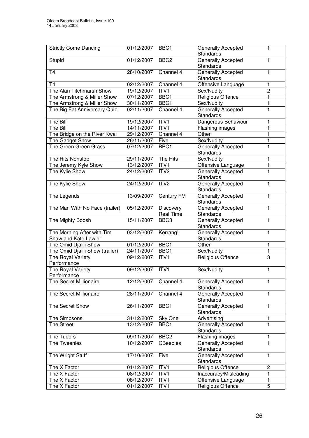| <b>Strictly Come Dancing</b>                       | 01/12/2007 | BBC1                          | <b>Generally Accepted</b><br><b>Standards</b> | 1              |
|----------------------------------------------------|------------|-------------------------------|-----------------------------------------------|----------------|
| Stupid                                             | 01/12/2007 | BBC <sub>2</sub>              | <b>Generally Accepted</b><br><b>Standards</b> | 1              |
| <b>T4</b>                                          | 28/10/2007 | Channel 4                     | Generally Accepted<br><b>Standards</b>        | 1              |
| T <sub>4</sub>                                     | 02/12/2007 | Channel 4                     | Offensive Language                            | 1              |
| The Alan Titchmarsh Show                           | 19/12/2007 | ITV1                          | Sex/Nudity                                    | $\overline{2}$ |
| The Armstrong & Miller Show                        | 07/12/2007 | BBC1                          | Religious Offence                             | $\mathbf{1}$   |
| The Armstrong & Miller Show                        | 30/11/2007 | BBC1                          | Sex/Nudity                                    | 1              |
| The Big Fat Anniversary Quiz                       | 02/11/2007 | Channel 4                     | <b>Generally Accepted</b><br><b>Standards</b> | 1              |
| The Bill                                           | 19/12/2007 | ITV1                          | Dangerous Behaviour                           | 1              |
| The Bill                                           | 14/11/2007 | ITV1                          | Flashing images                               | 1              |
| The Bridge on the River Kwai                       | 29/12/2007 | Channel 4                     | Other                                         | 1              |
| The Gadget Show                                    | 26/11/2007 | Five                          | Sex/Nudity                                    | 1              |
| The Green Green Grass                              | 07/12/2007 | BBC1                          | Generally Accepted<br><b>Standards</b>        | 1              |
| The Hits Nonstop                                   | 29/11/2007 | The Hits                      | Sex/Nudity                                    | 1              |
| The Jeremy Kyle Show                               | 13/12/2007 | ITV <sub>1</sub>              | Offensive Language                            | 1              |
| The Kylie Show                                     | 24/12/2007 | ITV <sub>2</sub>              | <b>Generally Accepted</b><br><b>Standards</b> | 1              |
| The Kylie Show                                     | 24/12/2007 | ITV <sub>2</sub>              | Generally Accepted<br><b>Standards</b>        | 1              |
| The Legends                                        | 13/09/2007 | Century FM                    | Generally Accepted<br><b>Standards</b>        | 1              |
| The Man With No Face (trailer)                     | 05/12/2007 | Discovery<br><b>Real Time</b> | Generally Accepted<br>Standards               | 1              |
| The Mighty Boosh                                   | 15/11/2007 | BBC <sub>3</sub>              | <b>Generally Accepted</b><br>Standards        | 1              |
| The Morning After with Tim<br>Shaw and Kate Lawler | 03/12/2007 | Kerrang!                      | Generally Accepted<br>Standards               | 1              |
| The Omid Djalili Show                              | 01/12/2007 | BBC1                          | Other                                         | 1              |
| The Omid Djalili Show (trailer)                    | 24/11/2007 | BBC1                          | Sex/Nudity                                    | 1              |
| The Royal Variety<br>Performance                   | 09/12/2007 | ITV1                          | Religious Offence                             | 3              |
| The Royal Variety<br>Performance                   | 09/12/2007 | ITV1                          | Sex/Nudity                                    | 1              |
| The Secret Millionaire                             | 12/12/2007 | Channel 4                     | Generally Accepted<br><b>Standards</b>        | 1              |
| The Secret Millionaire                             | 28/11/2007 | Channel 4                     | Generally Accepted<br><b>Standards</b>        | 1              |
| The Secret Show                                    | 26/11/2007 | BBC1                          | <b>Generally Accepted</b><br><b>Standards</b> | 1              |
| The Simpsons                                       | 31/12/2007 | Sky One                       | Advertising                                   | 1              |
| The Street                                         | 13/12/2007 | BBC1                          | Generally Accepted<br><b>Standards</b>        | 1              |
| The Tudors                                         | 09/11/2007 | BBC <sub>2</sub>              | Flashing images                               | 1              |
| The Tweenies                                       | 10/12/2007 | CBeebies                      | Generally Accepted<br><b>Standards</b>        | 1              |
| The Wright Stuff                                   | 17/10/2007 | Five                          | Generally Accepted<br><b>Standards</b>        | 1              |
| The X Factor                                       | 01/12/2007 | ITV1                          | Religious Offence                             | 2              |
| The X Factor                                       | 08/12/2007 | ITV1                          | Inaccuracy/Misleading                         | 1              |
| The X Factor                                       | 08/12/2007 | ITV1                          | Offensive Language                            | 1              |
| The X Factor                                       | 01/12/2007 | ITV1                          | Religious Offence                             | 5              |